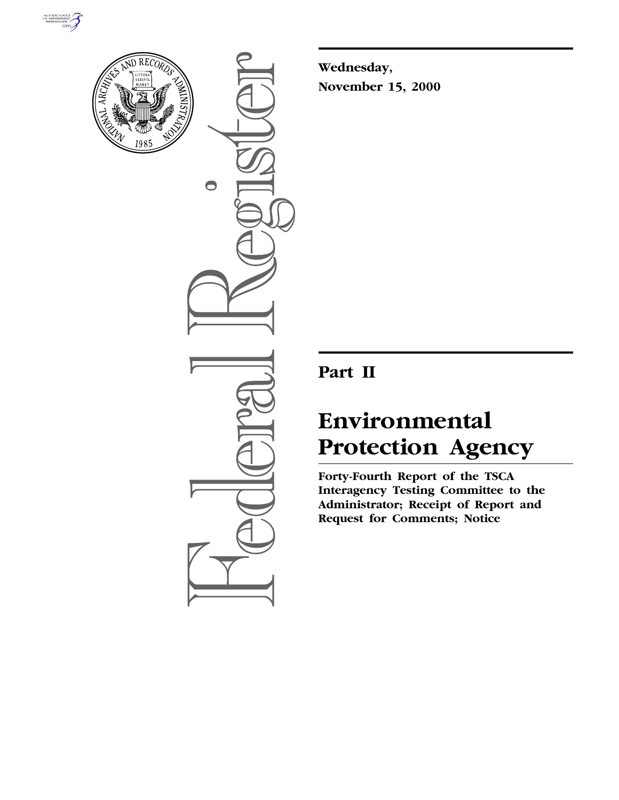



 $\bullet$ 

**Wednesday, November 15, 2000**

# **Part II**

# **Environmental Protection Agency**

**Forty-Fourth Report of the TSCA Interagency Testing Committee to the Administrator; Receipt of Report and Request for Comments; Notice**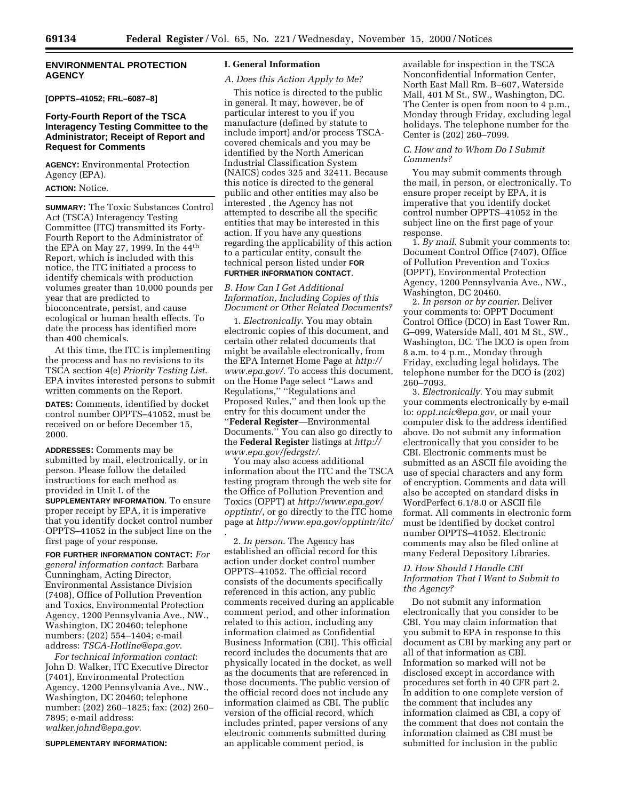### **ENVIRONMENTAL PROTECTION AGENCY**

# **[OPPTS–41052; FRL–6087–8]**

#### **Forty-Fourth Report of the TSCA Interagency Testing Committee to the Administrator; Receipt of Report and Request for Comments**

**AGENCY:** Environmental Protection Agency (EPA).

#### **ACTION:** Notice.

**SUMMARY:** The Toxic Substances Control Act (TSCA) Interagency Testing Committee (ITC) transmitted its Forty-Fourth Report to the Administrator of the EPA on May 27, 1999. In the 44th Report, which is included with this notice, the ITC initiated a process to identify chemicals with production volumes greater than 10,000 pounds per year that are predicted to bioconcentrate, persist, and cause ecological or human health effects. To date the process has identified more than 400 chemicals.

At this time, the ITC is implementing the process and has no revisions to its TSCA section 4(e) *Priority Testing List*. EPA invites interested persons to submit written comments on the Report.

**DATES:** Comments, identified by docket control number OPPTS–41052, must be received on or before December 15, 2000.

**ADDRESSES:** Comments may be submitted by mail, electronically, or in person. Please follow the detailed instructions for each method as provided in Unit I. of the **SUPPLEMENTARY INFORMATION**. To ensure proper receipt by EPA, it is imperative that you identify docket control number OPPTS–41052 in the subject line on the first page of your response.

**FOR FURTHER INFORMATION CONTACT:** *For general information contact*: Barbara Cunningham, Acting Director, Environmental Assistance Division (7408), Office of Pollution Prevention and Toxics, Environmental Protection Agency, 1200 Pennsylvania Ave., NW., Washington, DC 20460; telephone numbers: (202) 554–1404; e-mail address: *TSCA-Hotline@epa.gov*.

*For technical information contact*: John D. Walker, ITC Executive Director (7401), Environmental Protection Agency, 1200 Pennsylvania Ave., NW., Washington, DC 20460; telephone number: (202) 260–1825; fax: (202) 260– 7895; e-mail address: *walker.johnd@epa.gov*.

**SUPPLEMENTARY INFORMATION:**

#### **I. General Information**

#### *A. Does this Action Apply to Me?*

This notice is directed to the public in general. It may, however, be of particular interest to you if you manufacture (defined by statute to include import) and/or process TSCAcovered chemicals and you may be identified by the North American Industrial Classification System (NAICS) codes 325 and 32411. Because this notice is directed to the general public and other entities may also be interested , the Agency has not attempted to describe all the specific entities that may be interested in this action. If you have any questions regarding the applicability of this action to a particular entity, consult the technical person listed under **FOR FURTHER INFORMATION CONTACT**.

*B. How Can I Get Additional Information, Including Copies of this Document or Other Related Documents?*

1. *Electronically*. You may obtain electronic copies of this document, and certain other related documents that might be available electronically, from the EPA Internet Home Page at *http:// www.epa.gov/.* To access this document, on the Home Page select ''Laws and Regulations,'' ''Regulations and Proposed Rules,'' and then look up the entry for this document under the ''**Federal Register**—Environmental Documents.'' You can also go directly to the **Federal Register** listings at *http:// www.epa.gov/fedrgstr/*.

You may also access additional information about the ITC and the TSCA testing program through the web site for the Office of Pollution Prevention and Toxics (OPPT) at *http://www.epa.gov/ opptintr/*, or go directly to the ITC home page at *http://www.epa.gov/opptintr/itc/* .

2. *In person*. The Agency has established an official record for this action under docket control number OPPTS–41052. The official record consists of the documents specifically referenced in this action, any public comments received during an applicable comment period, and other information related to this action, including any information claimed as Confidential Business Information (CBI). This official record includes the documents that are physically located in the docket, as well as the documents that are referenced in those documents. The public version of the official record does not include any information claimed as CBI. The public version of the official record, which includes printed, paper versions of any electronic comments submitted during an applicable comment period, is

available for inspection in the TSCA Nonconfidential Information Center, North East Mall Rm. B–607, Waterside Mall, 401 M St., SW., Washington, DC. The Center is open from noon to 4 p.m., Monday through Friday, excluding legal holidays. The telephone number for the Center is (202) 260–7099.

### *C. How and to Whom Do I Submit Comments?*

You may submit comments through the mail, in person, or electronically. To ensure proper receipt by EPA, it is imperative that you identify docket control number OPPTS–41052 in the subject line on the first page of your response.

1. *By mail*. Submit your comments to: Document Control Office (7407), Office of Pollution Prevention and Toxics (OPPT), Environmental Protection Agency, 1200 Pennsylvania Ave., NW., Washington, DC 20460.

2. *In person or by courier*. Deliver your comments to: OPPT Document Control Office (DCO) in East Tower Rm. G–099, Waterside Mall, 401 M St., SW., Washington, DC. The DCO is open from 8 a.m. to 4 p.m., Monday through Friday, excluding legal holidays. The telephone number for the DCO is (202) 260–7093.

3. *Electronically*. You may submit your comments electronically by e-mail to: *oppt.ncic@epa.gov*, or mail your computer disk to the address identified above. Do not submit any information electronically that you consider to be CBI. Electronic comments must be submitted as an ASCII file avoiding the use of special characters and any form of encryption. Comments and data will also be accepted on standard disks in WordPerfect 6.1/8.0 or ASCII file format. All comments in electronic form must be identified by docket control number OPPTS–41052. Electronic comments may also be filed online at many Federal Depository Libraries.

### *D. How Should I Handle CBI Information That I Want to Submit to the Agency?*

Do not submit any information electronically that you consider to be CBI. You may claim information that you submit to EPA in response to this document as CBI by marking any part or all of that information as CBI. Information so marked will not be disclosed except in accordance with procedures set forth in 40 CFR part 2. In addition to one complete version of the comment that includes any information claimed as CBI, a copy of the comment that does not contain the information claimed as CBI must be submitted for inclusion in the public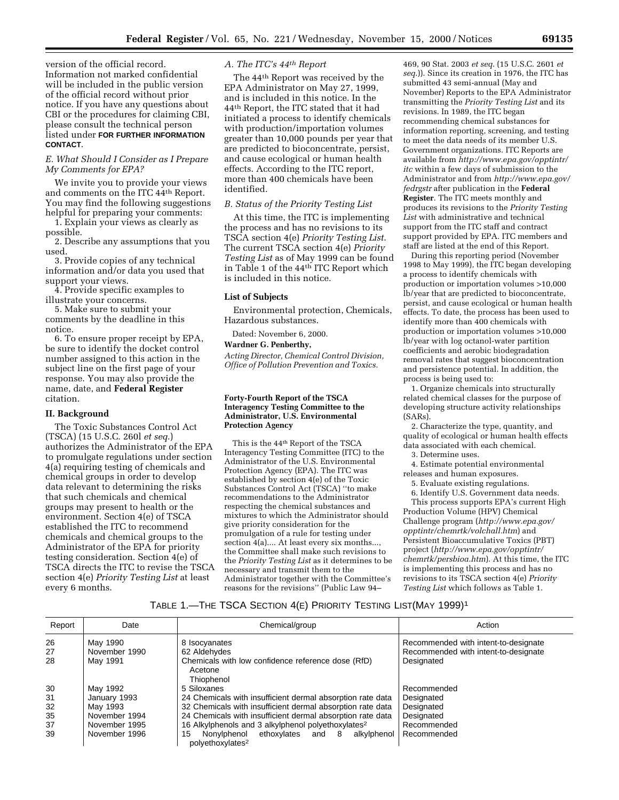version of the official record. Information not marked confidential will be included in the public version of the official record without prior notice. If you have any questions about CBI or the procedures for claiming CBI, please consult the technical person listed under **FOR FURTHER INFORMATION CONTACT**.

# *E. What Should I Consider as I Prepare My Comments for EPA?*

We invite you to provide your views and comments on the ITC 44th Report. You may find the following suggestions helpful for preparing your comments:

1. Explain your views as clearly as possible.

2. Describe any assumptions that you used.

3. Provide copies of any technical information and/or data you used that support your views.

4. Provide specific examples to illustrate your concerns.

5. Make sure to submit your comments by the deadline in this notice.

6. To ensure proper receipt by EPA, be sure to identify the docket control number assigned to this action in the subject line on the first page of your response. You may also provide the name, date, and **Federal Register** citation.

#### **II. Background**

The Toxic Substances Control Act (TSCA) (15 U.S.C. 260l *et seq*.) authorizes the Administrator of the EPA to promulgate regulations under section 4(a) requiring testing of chemicals and chemical groups in order to develop data relevant to determining the risks that such chemicals and chemical groups may present to health or the environment. Section 4(e) of TSCA established the ITC to recommend chemicals and chemical groups to the Administrator of the EPA for priority testing consideration. Section 4(e) of TSCA directs the ITC to revise the TSCA section 4(e) *Priority Testing List* at least every 6 months.

# *A. The ITC's 44th Report*

The 44th Report was received by the EPA Administrator on May 27, 1999, and is included in this notice. In the 44th Report, the ITC stated that it had initiated a process to identify chemicals with production/importation volumes greater than 10,000 pounds per year that are predicted to bioconcentrate, persist, and cause ecological or human health effects. According to the ITC report, more than 400 chemicals have been identified.

#### *B. Status of the Priority Testing List*

At this time, the ITC is implementing the process and has no revisions to its TSCA section 4(e) *Priority Testing List*. The current TSCA section 4(e) *Priority Testing List* as of May 1999 can be found in Table 1 of the 44th ITC Report which is included in this notice.

#### **List of Subjects**

Environmental protection, Chemicals, Hazardous substances.

Dated: November 6, 2000.

# **Wardner G. Penberthy,**

*Acting Director, Chemical Control Division, Office of Pollution Prevention and Toxics.*

#### **Forty-Fourth Report of the TSCA Interagency Testing Committee to the Administrator, U.S. Environmental Protection Agency**

This is the 44th Report of the TSCA Interagency Testing Committee (ITC) to the Administrator of the U.S. Environmental Protection Agency (EPA). The ITC was established by section 4(e) of the Toxic Substances Control Act (TSCA) ''to make recommendations to the Administrator respecting the chemical substances and mixtures to which the Administrator should give priority consideration for the promulgation of a rule for testing under section 4(a).... At least every six months..., the Committee shall make such revisions to the *Priority Testing List* as it determines to be necessary and transmit them to the Administrator together with the Committee's reasons for the revisions'' (Public Law 94–

469, 90 Stat. 2003 *et seq*. (15 U.S.C. 2601 *et seq*.)). Since its creation in 1976, the ITC has submitted 43 semi-annual (May and November) Reports to the EPA Administrator transmitting the *Priority Testing List* and its revisions. In 1989, the ITC began recommending chemical substances for information reporting, screening, and testing to meet the data needs of its member U.S. Government organizations. ITC Reports are available from *http://www.epa.gov/opptintr/ itc* within a few days of submission to the Administrator and from *http://www.epa.gov/ fedrgstr* after publication in the **Federal Register**. The ITC meets monthly and produces its revisions to the *Priority Testing List* with administrative and technical support from the ITC staff and contract support provided by EPA. ITC members and staff are listed at the end of this Report.

During this reporting period (November 1998 to May 1999), the ITC began developing a process to identify chemicals with production or importation volumes >10,000 lb/year that are predicted to bioconcentrate, persist, and cause ecological or human health effects. To date, the process has been used to identify more than 400 chemicals with production or importation volumes >10,000 lb/year with log octanol-water partition coefficients and aerobic biodegradation removal rates that suggest bioconcentration and persistence potential. In addition, the process is being used to:

1. Organize chemicals into structurally related chemical classes for the purpose of developing structure activity relationships (SARs).

2. Characterize the type, quantity, and quality of ecological or human health effects data associated with each chemical.

3. Determine uses.

4. Estimate potential environmental

releases and human exposures.

- 5. Evaluate existing regulations.
- 6. Identify U.S. Government data needs.

This process supports EPA's current High Production Volume (HPV) Chemical Challenge program (*http://www.epa.gov/ opptintr/chemrtk/volchall.htm*) and Persistent Bioaccumulative Toxics (PBT) project (*http://www.epa.gov/opptintr/ chemrtk/persbioa.htm*). At this time, the ITC is implementing this process and has no revisions to its TSCA section 4(e) *Priority Testing List* which follows as Table 1.

### TABLE 1.—THE TSCA SECTION 4(E) PRIORITY TESTING LIST(MAY 1999)1

| Report | Date          | Chemical/group                                                                     | Action                               |
|--------|---------------|------------------------------------------------------------------------------------|--------------------------------------|
| 26     | May 1990      | 8 Isocyanates                                                                      | Recommended with intent-to-designate |
| 27     | November 1990 | 62 Aldehydes                                                                       | Recommended with intent-to-designate |
| 28     | May 1991      | Chemicals with low confidence reference dose (RfD)<br>Acetone<br>Thiophenol        | Designated                           |
| 30     | May 1992      | 5 Siloxanes                                                                        | Recommended                          |
| 31     | January 1993  | 24 Chemicals with insufficient dermal absorption rate data                         | Designated                           |
| 32     | May 1993      | 32 Chemicals with insufficient dermal absorption rate data                         | Designated                           |
| 35     | November 1994 | 24 Chemicals with insufficient dermal absorption rate data                         | Designated                           |
| 37     | November 1995 | 16 Alkylphenols and 3 alkylphenol polyethoxylates <sup>2</sup>                     | Recommended                          |
| 39     | November 1996 | Nonylphenol ethoxylates and 8<br>alkylphenol<br>15<br>polyethoxylates <sup>2</sup> | Recommended                          |